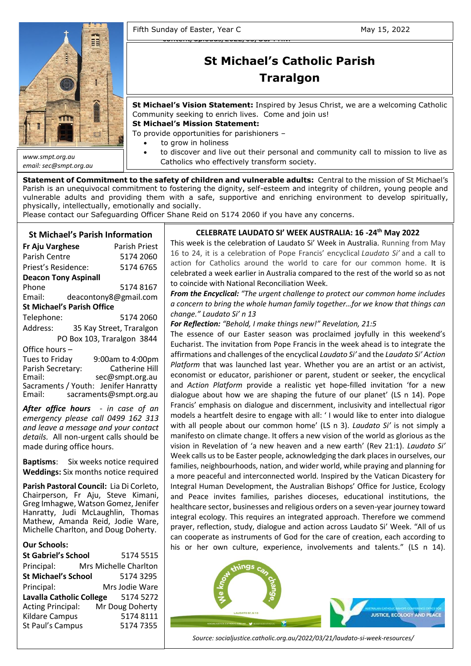

*email: sec@smpt.org.au*

Fifth Sunday of Easter, Year C May 15, 2022

# [930x620.png](https://socialjustice.catholic.org.au/wp-content/uploads/2022/03/OSJ-PHM-202203-LaudatoSiWeek-1200x675-1-930x620.png) **St Michael's Catholic Parish Traralgon**

**St Michael's Vision Statement:** Inspired by Jesus Christ, we are a welcoming Catholic Community seeking to enrich lives. Come and join us!

**St Michael's Mission Statement:**

To provide opportunities for parishioners –

[content/uploads/2022/03/OSJ-PHM-](https://socialjustice.catholic.org.au/wp-content/uploads/2022/03/OSJ-PHM-202203-LaudatoSiWeek-1200x675-1-930x620.png)

- to grow in holiness
- to discover and live out their personal and community call to mission to live as Catholics who effectively transform society.

**Statement of Commitment to the safety of children and vulnerable adults:** Central to the mission of St Michael's Parish is an unequivocal commitment to fostering the dignity, self-esteem and integrity of children, young people and vulnerable adults and providing them with a safe, supportive and enriching environment to develop spiritually, physically, intellectually, emotionally and socially.

Please contact our Safeguarding Officer Shane Reid on 5174 2060 if you have any concerns.

## **St Michael's Parish Information**

| Fr Aju Varghese                   | Parish Priest              |  |  |  |  |
|-----------------------------------|----------------------------|--|--|--|--|
| Parish Centre                     | 5174 2060                  |  |  |  |  |
| Priest's Residence:               | 5174 6765                  |  |  |  |  |
| <b>Deacon Tony Aspinall</b>       |                            |  |  |  |  |
| Phone                             | 5174 8167                  |  |  |  |  |
| Email:                            | deacontony8@gmail.com      |  |  |  |  |
| <b>St Michael's Parish Office</b> |                            |  |  |  |  |
| Telephone:                        | 5174 2060                  |  |  |  |  |
| Address:                          | 35 Kay Street, Traralgon   |  |  |  |  |
|                                   | PO Box 103, Traralgon 3844 |  |  |  |  |
| Office hours-                     |                            |  |  |  |  |
| Tues to Friday                    | 9:00am to 4:00pm           |  |  |  |  |
| Parish Secretary:                 | <b>Catherine Hill</b>      |  |  |  |  |
| Email:                            | sec@smpt.org.au            |  |  |  |  |
| Sacraments / Youth:               | lenifer Hanratty           |  |  |  |  |

Sacraments / Youth: Jenifer Hanratty Email: [sacraments@smpt.org.au](mailto:sacraments@smpt.org.au)

*After office hours - in case of an emergency please call 0499 162 313 and leave a message and your contact details.* All non-urgent calls should be made during office hours.

**Baptisms**: Six weeks notice required **Weddings:** Six months notice required

**Parish Pastoral Council:** Lia Di Corleto, Chairperson, Fr Aju, Steve Kimani, Greg Imhagwe, Watson Gomez, Jenifer Hanratty, Judi McLaughlin, Thomas Mathew, Amanda Reid, Jodie Ware, Michelle Charlton, and Doug Doherty.

#### **Our Schools:**

| <b>St Gabriel's School</b>      | 5174 5515             |
|---------------------------------|-----------------------|
| Principal:                      | Mrs Michelle Charlton |
| <b>St Michael's School</b>      | 5174 3295             |
| Principal:                      | Mrs Jodie Ware        |
| <b>Lavalla Catholic College</b> | 5174 5272             |
| <b>Acting Principal:</b>        | Mr Doug Doherty       |
| <b>Kildare Campus</b>           | 51748111              |
| St Paul's Campus                | 51747355              |
|                                 |                       |

## **CELEBRATE LAUDATO SI' WEEK AUSTRALIA: 16 -24th May 2022**

This week is the celebration of Laudato Si' Week in Australia. Running from May 16 to 24, it is a celebration of Pope Francis' encyclical *Laudato Si'* and a call to action for Catholics around the world to care for our common home. It is celebrated a week earlier in Australia compared to the rest of the world so as not to coincide with National Reconciliation Week.

*From the Encyclical: "The urgent challenge to protect our common home includes a concern to bring the whole human family together…for we know that things can change." Laudato Si' n 13*

#### *For Reflection: "Behold, I make things new!" Revelation, 21:5*

Integral Human Development, the Australian Bishops' Office for Justice, Ecology and Peace invites families, parishes dioceses, educational institutions, the healthcare sector, businesses and religious orders on a seven-year journey toward integral ecology. This requires an integrated approach. Therefore we commend prayer, reflection, study, dialogue and action across Laudato Si' Week. "All of us can cooperate as instruments of God for the care of creation, each according to his or her own culture, experience, involvements and talents." (LS n 14). The essence of our Easter season was proclaimed joyfully in this weekend's Eucharist. The invitation from Pope Francis in the week ahead is to integrate the affirmations and challenges of the encyclical *Laudato Si'* and the *Laudato Si' Action Platform* that was launched last year. Whether you are an artist or an activist, economist or educator, parishioner or parent, student or seeker, the encyclical and *Action Platform* provide a realistic yet hope-filled invitation 'for a new dialogue about how we are shaping the future of our planet' (LS n 14). Pope Francis' emphasis on dialogue and discernment, inclusivity and intellectual rigor models a heartfelt desire to engage with all: ' I would like to enter into dialogue with all people about our common home' (LS n 3). *Laudato Si'* is not simply a manifesto on climate change. It offers a new vision of the world as glorious as the vision in Revelation of 'a new heaven and a new earth' (Rev 21:1). *Laudato Si'* Week calls us to be Easter people, acknowledging the dark places in ourselves, our families, neighbourhoods, nation, and wider world, while praying and planning for a more peaceful and interconnected world. Inspired by the Vatican Dicastery for



To focus on Jesus' cross, as Saint Paul says (cf. *Gal* 2:19), means *Source: socialjustice.catholic.org.au/2022/03/21/laudato-si-week-resources/*

accepting to place my life under his gaze, to accept this gaze, to accept this encounter  $\mathcal{L}_{\mathcal{A}}$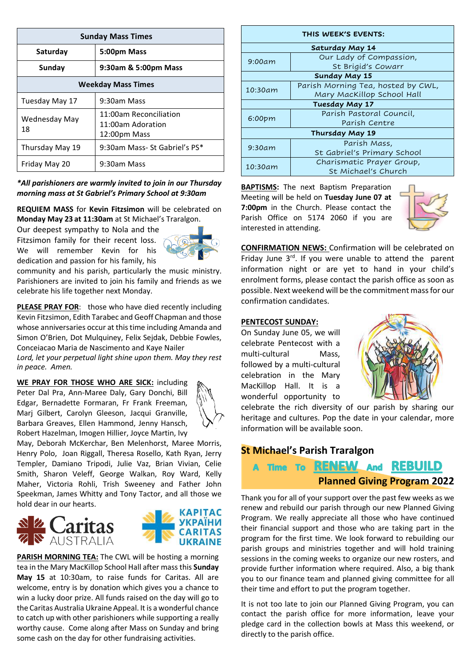| <b>Sunday Mass Times</b>  |                                                             |  |  |  |
|---------------------------|-------------------------------------------------------------|--|--|--|
| Saturday                  | 5:00pm Mass                                                 |  |  |  |
| Sunday                    | 9:30am & 5:00pm Mass                                        |  |  |  |
| <b>Weekday Mass Times</b> |                                                             |  |  |  |
| Tuesday May 17            | 9:30am Mass                                                 |  |  |  |
| Wednesday May<br>18       | 11:00am Reconciliation<br>11:00am Adoration<br>12:00pm Mass |  |  |  |
| Thursday May 19           | 9:30am Mass- St Gabriel's PS*                               |  |  |  |
| Friday May 20             | 9:30am Mass                                                 |  |  |  |

*\*All parishioners are warmly invited to join in our Thursday morning mass at St Gabriel's Primary School at 9:30am*

**REQUIEM MASS** for **Kevin Fitzsimon** will be celebrated on **Monday May 23 at 11:30am** at St Michael's Traralgon.

Our deepest sympathy to Nola and the

Fitzsimon family for their recent loss. We will remember Kevin for his dedication and passion for his family, his



community and his parish, particularly the music ministry. Parishioners are invited to join his family and friends as we celebrate his life together next Monday.

**PLEASE PRAY FOR**: those who have died recently including Kevin Fitzsimon, Edith Tarabec and Geoff Chapman and those whose anniversaries occur at this time including Amanda and Simon O'Brien, Dot Mulquiney, Felix Sejdak, Debbie Fowles, Conceiacao Maria de Nascimento and Kaye Nailer

*Lord, let your perpetual light shine upon them. May they rest in peace. Amen.*

**WE PRAY FOR THOSE WHO ARE SICK:** including Peter Dal Pra, Ann-Maree Daly, Gary Donchi, Bill Edgar, Bernadette Formaran, Fr Frank Freeman, Marj Gilbert, Carolyn Gleeson, Jacqui Granville, Barbara Greaves, Ellen Hammond, Jenny Hansch, Robert Hazelman, Imogen Hillier, Joyce Martin, Ivy



May, Deborah McKerchar, Ben Melenhorst, Maree Morris, Henry Polo, Joan Riggall, Theresa Rosello, Kath Ryan, Jerry Templer, Damiano Tripodi, Julie Vaz, Brian Vivian, Celie Smith, Sharon Veleff, George Walkan, Roy Ward, Kelly Maher, Victoria Rohli, Trish Sweeney and Father John Speekman, James Whitty and Tony Tactor, and all those we hold dear in our hearts.





**PARISH MORNING TEA:** The CWL will be hosting a morning tea in the Mary MacKillop School Hall after mass this **Sunday May 15** at 10:30am, to raise funds for Caritas. All are welcome, entry is by donation which gives you a chance to win a lucky door prize. All funds raised on the day will go to the Caritas Australia Ukraine Appeal. It is a wonderful chance to catch up with other parishioners while supporting a really worthy cause. Come along after Mass on Sunday and bring some cash on the day for other fundraising activities.

| THIS WEEK'S EVENTS:  |                                    |  |  |  |
|----------------------|------------------------------------|--|--|--|
| Saturday May 14      |                                    |  |  |  |
| 9:00am               | Our Lady of Compassion,            |  |  |  |
|                      | St Brigid's Cowarr                 |  |  |  |
| <b>Sunday May 15</b> |                                    |  |  |  |
| 10:30am              | Parish Morning Tea, hosted by CWL, |  |  |  |
|                      | Mary MacKillop School Hall         |  |  |  |
| Tuesday May 17       |                                    |  |  |  |
| 6:00 <sub>pm</sub>   | Parish Pastoral Council,           |  |  |  |
|                      | Parish Centre                      |  |  |  |
| Thursday May 19      |                                    |  |  |  |
| 9:30am               | Parish Mass,                       |  |  |  |
|                      | St Gabriel's Primary School        |  |  |  |
| 10:30am              | Charismatic Prayer Group,          |  |  |  |
|                      | St Michael's Church                |  |  |  |

**BAPTISMS:** The next Baptism Preparation Meeting will be held on **Tuesday June 07 at 7:00pm** in the Church. Please contact the Parish Office on 5174 2060 if you are interested in attending.



**CONFIRMATION NEWS:** Confirmation will be celebrated on Friday June  $3^{rd}$ . If you were unable to attend the parent information night or are yet to hand in your child's enrolment forms, please contact the parish office as soon as possible. Next weekend will be the commitment mass for our confirmation candidates.

#### **PENTECOST SUNDAY:**

On Sunday June 05, we will celebrate Pentecost with a multi-cultural Mass, followed by a multi-cultural celebration in the Mary MacKillop Hall. It is a wonderful opportunity to



celebrate the rich diversity of our parish by sharing our heritage and cultures. Pop the date in your calendar, more information will be available soon.

# **St Michael's Parish Traralgon**

# A Time To RENEW And REBUILD **Planned Giving Program 2022**

Thank you for all of your support over the past few weeks as we renew and rebuild our parish through our new Planned Giving Program. We really appreciate all those who have continued their financial support and those who are taking part in the program for the first time. We look forward to rebuilding our parish groups and ministries together and will hold training sessions in the coming weeks to organize our new rosters, and provide further information where required. Also, a big thank you to our finance team and planned giving committee for all their time and effort to put the program together.

It is not too late to join our Planned Giving Program, you can contact the parish office for more information, leave your pledge card in the collection bowls at Mass this weekend, or directly to the parish office.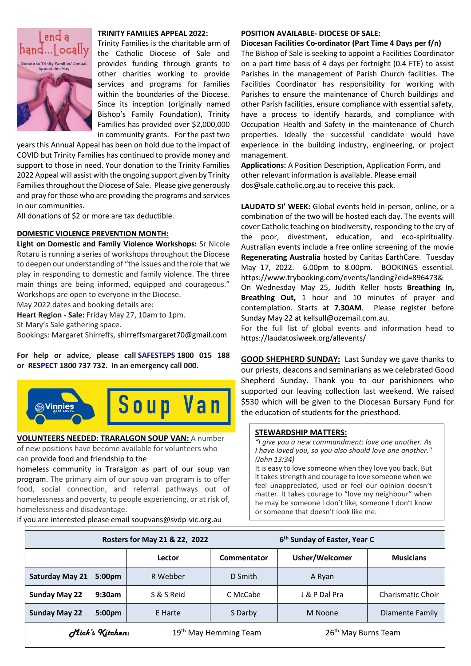

#### **TRINITY FAMILIES APPEAL 2022:**

Trinity Families is the charitable arm of the Catholic Diocese of Sale and provides funding through grants to other charities working to provide services and programs for families within the boundaries of the Diocese. Since its inception (originally named Bishop's Family Foundation), Trinity Families has provided over \$2,000,000 in community grants. For the past two

years this Annual Appeal has been on hold due to the impact of COVID but Trinity Families has continued to provide money and support to those in need. Your donation to the Trinity Families 2022 Appeal will assist with the ongoing support given by Trinity Families throughout the Diocese of Sale. Please give generously and pray for those who are providing the programs and services in our communities.

All donations of \$2 or more are tax deductible.

#### **DOMESTIC VIOLENCE PREVENTION MONTH:**

**Light on Domestic and Family Violence Workshops:** Sr Nicole Rotaru is running a series of workshops throughout the Diocese to deepen our understanding of "the issues and the role that we play in responding to domestic and family violence. The three main things are being informed, equipped and courageous." Workshops are open to everyone in the Diocese.

May 2022 dates and booking details are:

**Heart Region - Sale:** Friday May 27, 10am to 1pm.

St Mary's Sale gathering space.

Bookings: Margaret Shirreffs, [shirreffsmargaret70@gmail.com](mailto:shirreffsmargaret70@gmail.com)

**For help or advice, please call [SAFESTEPS](https://www.safesteps.org.au/) 1800 015 188 or [RESPECT](https://www.respectvictoria.vic.gov.au/) 1800 737 732. In an emergency call 000.**



# **VOLUNTEERS NEEDED: TRARALGON SOUP VAN:** A number

of new positions have become available for volunteers who can provide food and friendship to the

homeless community in Traralgon as part of our soup van program. The primary aim of our soup van program is to offer food, social connection, and referral pathways out of homelessness and poverty, to people experiencing, or at risk of, homelessness and disadvantage.

If you are interested please email soupvans@svdp-vic.org.au

#### **POSITION AVAILABLE- DIOCESE OF SALE:**

**Diocesan Facilities Co-ordinator (Part Time 4 Days per f/n)**

The Bishop of Sale is seeking to appoint a Facilities Coordinator on a part time basis of 4 days per fortnight (0.4 FTE) to assist Parishes in the management of Parish Church facilities. The Facilities Coordinator has responsibility for working with Parishes to ensure the maintenance of Church buildings and other Parish facilities, ensure compliance with essential safety, have a process to identify hazards, and compliance with Occupation Health and Safety in the maintenance of Church properties. Ideally the successful candidate would have experience in the building industry, engineering, or project management.

**Applications:** A Position Description, Application Form, and other relevant information is available. Please email [dos@sale.catholic.org.au](mailto:dos@sale.catholic.org.au) to receive this pack.

**LAUDATO SI' WEEK:** Global events held in-person, online, or a combination of the two will be hosted each day. The events will cover Catholic teaching on biodiversity, responding to the cry of the poor, divestment, education, and eco-spirituality. Australian events include a free online screening of the movie **Regenerating Australia** hosted by Caritas EarthCare. Tuesday May 17, 2022. 6.00pm to 8.00pm. BOOKINGS essential. <https://www.trybooking.com/events/landing?eid=896473&>

On Wednesday May 25, Judith Keller hosts **Breathing In, Breathing Out,** 1 hour and 10 minutes of prayer and contemplation. Starts at **7.30AM**. Please register before Sunday May 22 a[t kellsull@ozemail.com.au.](mailto:kellsull@ozemail.com.au)

For the full list of global events and information head to <https://laudatosiweek.org/allevents/>

**GOOD SHEPHERD SUNDAY:** Last Sunday we gave thanks to our priests, deacons and seminarians as we celebrated Good Shepherd Sunday. Thank you to our parishioners who supported our leaving collection last weekend. We raised \$530 which will be given to the Diocesan Bursary Fund for the education of students for the priesthood.

#### **STEWARDSHIP MATTERS:**

*"I give you a new commandment: love one another. As I have loved you, so you also should love one another." (John 13:34)*

It is easy to love someone when they love you back. But it takes strength and courage to love someone when we feel unappreciated, used or feel our opinion doesn't matter. It takes courage to "love my neighbour" when he may be someone I don't like, someone I don't know or someone that doesn't look like me.

| Rosters for May 21 & 22, 2022 |                         | 6 <sup>th</sup> Sunday of Easter, Year C |                                   |                                 |                          |
|-------------------------------|-------------------------|------------------------------------------|-----------------------------------|---------------------------------|--------------------------|
|                               |                         | Lector                                   | Commentator                       | Usher/Welcomer                  | <b>Musicians</b>         |
| <b>Saturday May 21</b>        | 5:00 <sub>pm</sub>      | R Webber                                 | D Smith                           | A Ryan                          |                          |
| <b>Sunday May 22</b>          | 9:30am                  | S & S Reid                               | C McCabe                          | J & P Dal Pra                   | <b>Charismatic Choir</b> |
| <b>Sunday May 22</b>          | 5:00 <sub>pm</sub>      | E Harte                                  | S Darby                           | M Noone                         | Diamente Family          |
|                               | <i>Click's</i> Kitchen: |                                          | 19 <sup>th</sup> May Hemming Team | 26 <sup>th</sup> May Burns Team |                          |